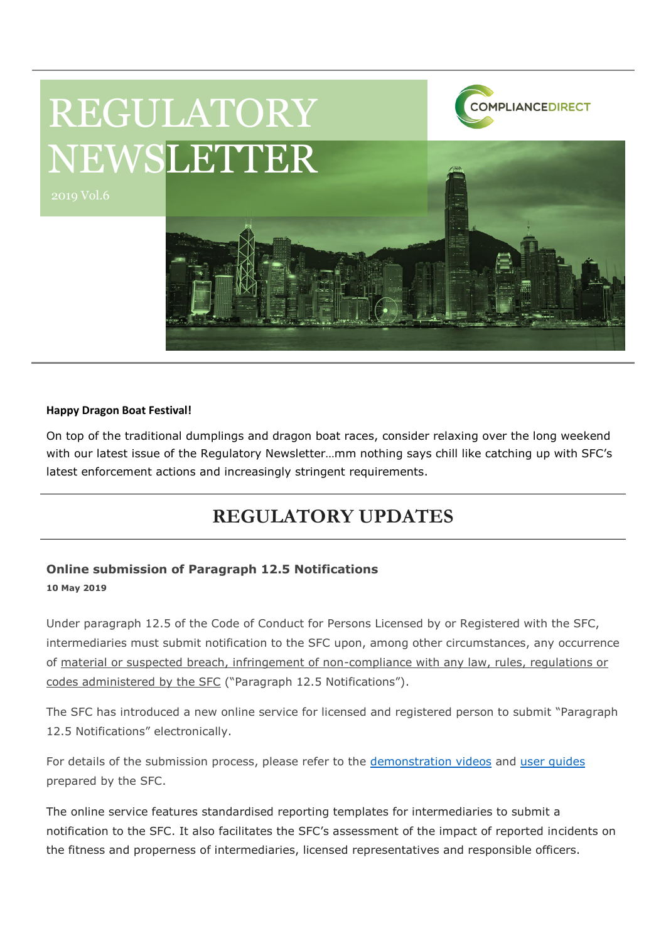

#### **Happy Dragon Boat Festival!**

On top of the traditional dumplings and dragon boat races, consider relaxing over the long weekend with our latest issue of the Regulatory Newsletter…mm nothing says chill like catching up with SFC's latest enforcement actions and increasingly stringent requirements.

## **REGULATORY UPDATES**

#### **Online submission of Paragraph 12.5 Notifications 10 May 2019**

Under paragraph 12.5 of the Code of Conduct for Persons Licensed by or Registered with the SFC, intermediaries must submit notification to the SFC upon, among other circumstances, any occurrence of material or suspected breach, infringement of non-compliance with any law, rules, regulations or codes administered by the SFC ("Paragraph 12.5 Notifications").

The SFC has introduced a new online service for licensed and registered person to submit "Paragraph 12.5 Notifications" electronically.

For details of the submission process, please refer to the [demonstration videos](https://wings.sfc.hk/main/#/en/demo?title=demoVideo.paragraph.videoTitle.submission&videoId=demoVideo.paragraph.video.submission&filename=12.5) and user quides prepared by the SFC.

The online service features standardised reporting templates for intermediaries to submit a notification to the SFC. It also facilitates the SFC's assessment of the impact of reported incidents on the fitness and properness of intermediaries, licensed representatives and responsible officers.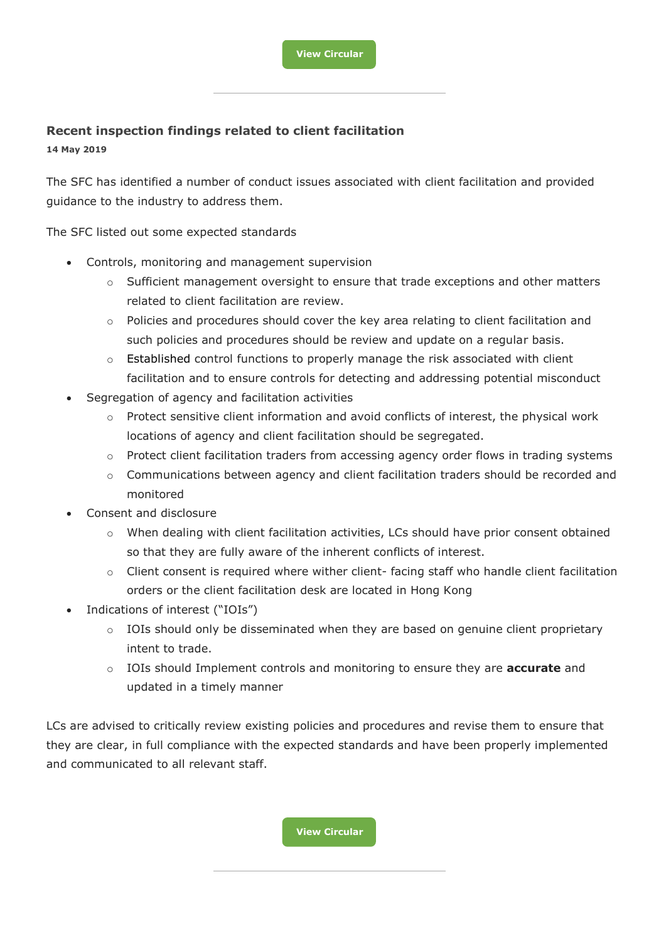#### **Recent inspection findings related to client facilitation**

**14 May 2019**

The SFC has identified a number of conduct issues associated with client facilitation and provided guidance to the industry to address them.

The SFC listed out some expected standards

- Controls, monitoring and management supervision
	- $\circ$  Sufficient management oversight to ensure that trade exceptions and other matters related to client facilitation are review.
	- $\circ$  Policies and procedures should cover the key area relating to client facilitation and such policies and procedures should be review and update on a regular basis.
	- $\circ$  Established control functions to properly manage the risk associated with client facilitation and to ensure controls for detecting and addressing potential misconduct
- Segregation of agency and facilitation activities
	- $\circ$  Protect sensitive client information and avoid conflicts of interest, the physical work locations of agency and client facilitation should be segregated.
	- $\circ$  Protect client facilitation traders from accessing agency order flows in trading systems
	- $\circ$  Communications between agency and client facilitation traders should be recorded and monitored
- Consent and disclosure
	- $\circ$  When dealing with client facilitation activities, LCs should have prior consent obtained so that they are fully aware of the inherent conflicts of interest.
	- $\circ$  Client consent is required where wither client-facing staff who handle client facilitation orders or the client facilitation desk are located in Hong Kong
- Indications of interest ("IOIs")
	- o IOIs should only be disseminated when they are based on genuine client proprietary intent to trade.
	- o IOIs should Implement controls and monitoring to ensure they are **accurate** and updated in a timely manner

LCs are advised to critically review existing policies and procedures and revise them to ensure that they are clear, in full compliance with the expected standards and have been properly implemented and communicated to all relevant staff.

**[View Circular](https://www.sfc.hk/edistributionWeb/gateway/EN/circular/intermediaries/supervision/doc?refNo=19EC33)**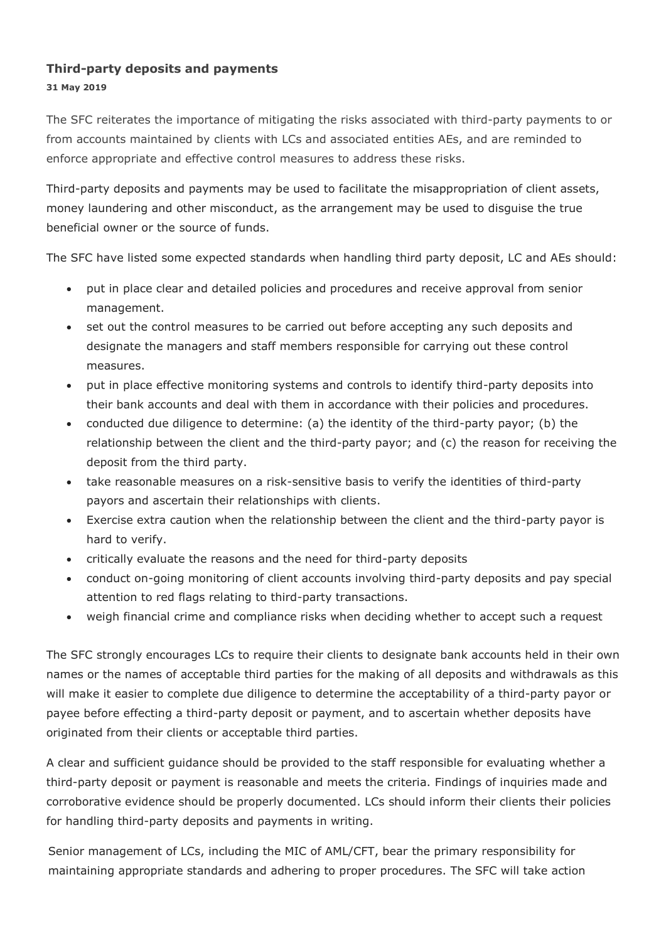### **Third-party deposits and payments 31 May 2019**

The SFC reiterates the importance of mitigating the risks associated with third-party payments to or from accounts maintained by clients with LCs and associated entities AEs, and are reminded to enforce appropriate and effective control measures to address these risks.

Third-party deposits and payments may be used to facilitate the misappropriation of client assets, money laundering and other misconduct, as the arrangement may be used to disguise the true beneficial owner or the source of funds.

The SFC have listed some expected standards when handling third party deposit, LC and AEs should:

- put in place clear and detailed policies and procedures and receive approval from senior management.
- set out the control measures to be carried out before accepting any such deposits and designate the managers and staff members responsible for carrying out these control measures.
- put in place effective monitoring systems and controls to identify third-party deposits into their bank accounts and deal with them in accordance with their policies and procedures.
- conducted due diligence to determine: (a) the identity of the third-party payor; (b) the relationship between the client and the third-party payor; and (c) the reason for receiving the deposit from the third party.
- take reasonable measures on a risk-sensitive basis to verify the identities of third-party payors and ascertain their relationships with clients.
- Exercise extra caution when the relationship between the client and the third-party payor is hard to verify.
- critically evaluate the reasons and the need for third-party deposits
- conduct on-going monitoring of client accounts involving third-party deposits and pay special attention to red flags relating to third-party transactions.
- weigh financial crime and compliance risks when deciding whether to accept such a request

The SFC strongly encourages LCs to require their clients to designate bank accounts held in their own names or the names of acceptable third parties for the making of all deposits and withdrawals as this will make it easier to complete due diligence to determine the acceptability of a third-party payor or payee before effecting a third-party deposit or payment, and to ascertain whether deposits have originated from their clients or acceptable third parties.

A clear and sufficient guidance should be provided to the staff responsible for evaluating whether a third-party deposit or payment is reasonable and meets the criteria. Findings of inquiries made and corroborative evidence should be properly documented. LCs should inform their clients their policies for handling third-party deposits and payments in writing.

Senior management of LCs, including the MIC of AML/CFT, bear the primary responsibility for maintaining appropriate standards and adhering to proper procedures. The SFC will take action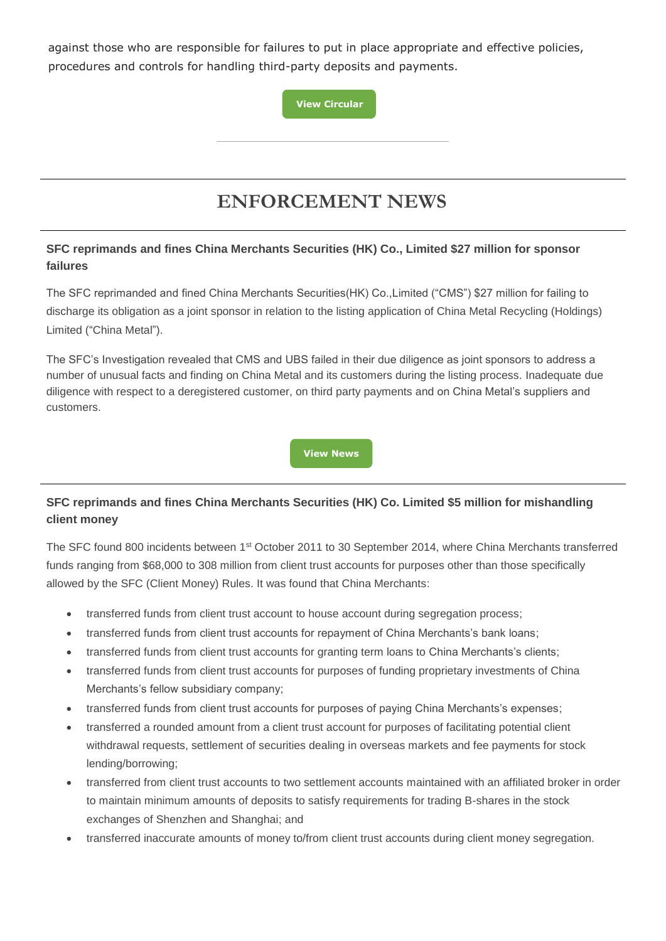against those who are responsible for failures to put in place appropriate and effective policies, procedures and controls for handling third-party deposits and payments.

**[View Circular](https://www.sfc.hk/edistributionWeb/gateway/EN/circular/intermediaries/supervision/doc?refNo=19EC39)**

# **ENFORCEMENT NEWS**

#### **SFC reprimands and fines China Merchants Securities (HK) Co., Limited \$27 million for sponsor failures**

The SFC reprimanded and fined China Merchants Securities(HK) Co.,Limited ("CMS") \$27 million for failing to discharge its obligation as a joint sponsor in relation to the listing application of China Metal Recycling (Holdings) Limited ("China Metal").

The SFC's Investigation revealed that CMS and UBS failed in their due diligence as joint sponsors to address a number of unusual facts and finding on China Metal and its customers during the listing process. Inadequate due diligence with respect to a deregistered customer, on third party payments and on China Metal's suppliers and customers.

**[View News](https://www.sfc.hk/edistributionWeb/gateway/EN/news-and-announcements/news/enforcement-news/doc?refNo=19PR44)**

### **SFC reprimands and fines China Merchants Securities (HK) Co. Limited \$5 million for mishandling client money**

The SFC found 800 incidents between 1st October 2011 to 30 September 2014, where China Merchants transferred funds ranging from \$68,000 to 308 million from client trust accounts for purposes other than those specifically allowed by the SFC (Client Money) Rules. It was found that China Merchants:

- transferred funds from client trust account to house account during segregation process;
- transferred funds from client trust accounts for repayment of China Merchants's bank loans;
- transferred funds from client trust accounts for granting term loans to China Merchants's clients;
- transferred funds from client trust accounts for purposes of funding proprietary investments of China Merchants's fellow subsidiary company;
- transferred funds from client trust accounts for purposes of paying China Merchants's expenses;
- transferred a rounded amount from a client trust account for purposes of facilitating potential client withdrawal requests, settlement of securities dealing in overseas markets and fee payments for stock lending/borrowing;
- transferred from client trust accounts to two settlement accounts maintained with an affiliated broker in order to maintain minimum amounts of deposits to satisfy requirements for trading B-shares in the stock exchanges of Shenzhen and Shanghai; and
- transferred inaccurate amounts of money to/from client trust accounts during client money segregation.